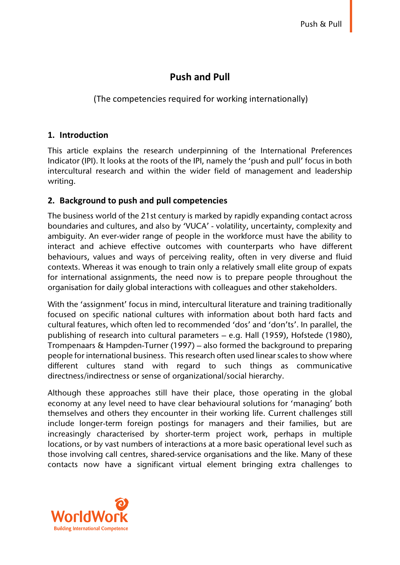# **Push and Pull**

(The competencies required for working internationally)

#### **1. Introduction**

This article explains the research underpinning of the International Preferences Indicator (IPI). It looks at the roots of the IPI, namely the 'push and pull' focus in both intercultural research and within the wider field of management and leadership writing.

### **2. Background to push and pull competencies**

The business world of the 21st century is marked by rapidly expanding contact across boundaries and cultures, and also by 'VUCA' - volatility, uncertainty, complexity and ambiguity. An ever-wider range of people in the workforce must have the ability to interact and achieve effective outcomes with counterparts who have different behaviours, values and ways of perceiving reality, often in very diverse and fluid contexts. Whereas it was enough to train only a relatively small elite group of expats for international assignments, the need now is to prepare people throughout the organisation for daily global interactions with colleagues and other stakeholders.

With the 'assignment' focus in mind, intercultural literature and training traditionally focused on specific national cultures with information about both hard facts and cultural features, which often led to recommended 'dos' and 'don'ts'. In parallel, the publishing of research into cultural parameters – e.g. Hall (1959), Hofstede (1980), Trompenaars & Hampden-Turner (1997) – also formed the background to preparing people for international business. This research often used linear scales to show where different cultures stand with regard to such things as communicative directness/indirectness or sense of organizational/social hierarchy.

Although these approaches still have their place, those operating in the global economy at any level need to have clear behavioural solutions for 'managing' both themselves and others they encounter in their working life. Current challenges still include longer-term foreign postings for managers and their families, but are increasingly characterised by shorter-term project work, perhaps in multiple locations, or by vast numbers of interactions at a more basic operational level such as those involving call centres, shared-service organisations and the like. Many of these contacts now have a significant virtual element bringing extra challenges to

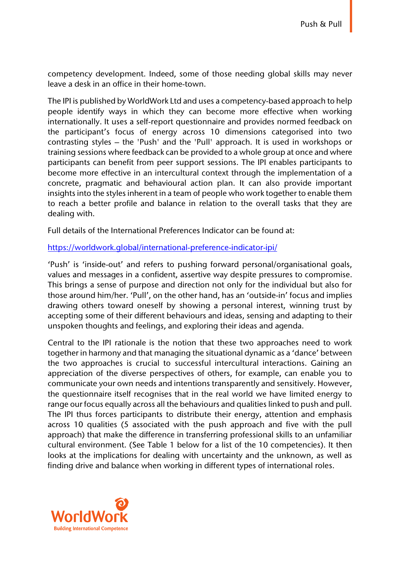competency development. Indeed, some of those needing global skills may never leave a desk in an office in their home-town.

The IPI is published by WorldWork Ltd and uses a competency-based approach to help people identify ways in which they can become more effective when working internationally. It uses a self-report questionnaire and provides normed feedback on the participant's focus of energy across 10 dimensions categorised into two contrasting styles – the 'Push' and the 'Pull' approach. It is used in workshops or training sessions where feedback can be provided to a whole group at once and where participants can benefit from peer support sessions. The IPI enables participants to become more effective in an intercultural context through the implementation of a concrete, pragmatic and behavioural action plan. It can also provide important insights into the styles inherent in a team of people who work together to enable them to reach a better profile and balance in relation to the overall tasks that they are dealing with.

Full details of the International Preferences Indicator can be found at:

#### https://worldwork.global/international-preference-indicator-ipi/

'Push' is 'inside-out' and refers to pushing forward personal/organisational goals, values and messages in a confident, assertive way despite pressures to compromise. This brings a sense of purpose and direction not only for the individual but also for those around him/her. 'Pull', on the other hand, has an 'outside-in' focus and implies drawing others toward oneself by showing a personal interest, winning trust by accepting some of their different behaviours and ideas, sensing and adapting to their unspoken thoughts and feelings, and exploring their ideas and agenda.

Central to the IPI rationale is the notion that these two approaches need to work together in harmony and that managing the situational dynamic as a 'dance' between the two approaches is crucial to successful intercultural interactions. Gaining an appreciation of the diverse perspectives of others, for example, can enable you to communicate your own needs and intentions transparently and sensitively. However, the questionnaire itself recognises that in the real world we have limited energy to range our focus equally across all the behaviours and qualities linked to push and pull. The IPI thus forces participants to distribute their energy, attention and emphasis across 10 qualities (5 associated with the push approach and five with the pull approach) that make the difference in transferring professional skills to an unfamiliar cultural environment. (See Table 1 below for a list of the 10 competencies). It then looks at the implications for dealing with uncertainty and the unknown, as well as finding drive and balance when working in different types of international roles.

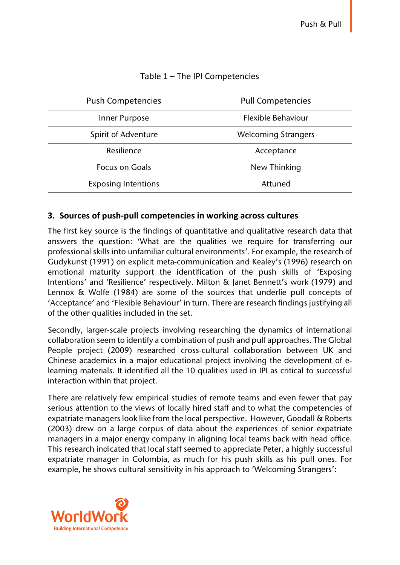| <b>Push Competencies</b>   | <b>Pull Competencies</b>   |  |  |
|----------------------------|----------------------------|--|--|
| Inner Purpose              | Flexible Behaviour         |  |  |
| Spirit of Adventure        | <b>Welcoming Strangers</b> |  |  |
| Resilience                 | Acceptance                 |  |  |
| <b>Focus on Goals</b>      | New Thinking               |  |  |
| <b>Exposing Intentions</b> | Attuned                    |  |  |

### Table 1 – The IPI Competencies

# **3. Sources of push-pull competencies in working across cultures**

The first key source is the findings of quantitative and qualitative research data that answers the question: 'What are the qualities we require for transferring our professional skills into unfamiliar cultural environments'. For example, the research of Gudykunst (1991) on explicit meta-communication and Kealey's (1996) research on emotional maturity support the identification of the push skills of 'Exposing Intentions' and 'Resilience' respectively. Milton & Janet Bennett's work (1979) and Lennox & Wolfe (1984) are some of the sources that underlie pull concepts of 'Acceptance' and 'Flexible Behaviour' in turn. There are research findings justifying all of the other qualities included in the set.

Secondly, larger-scale projects involving researching the dynamics of international collaboration seem to identify a combination of push and pull approaches. The Global People project (2009) researched cross-cultural collaboration between UK and Chinese academics in a major educational project involving the development of elearning materials. It identified all the 10 qualities used in IPI as critical to successful interaction within that project.

There are relatively few empirical studies of remote teams and even fewer that pay serious attention to the views of locally hired staff and to what the competencies of expatriate managers look like from the local perspective. However, Goodall & Roberts (2003) drew on a large corpus of data about the experiences of senior expatriate managers in a major energy company in aligning local teams back with head office. This research indicated that local staff seemed to appreciate Peter, a highly successful expatriate manager in Colombia, as much for his push skills as his pull ones. For example, he shows cultural sensitivity in his approach to 'Welcoming Strangers':

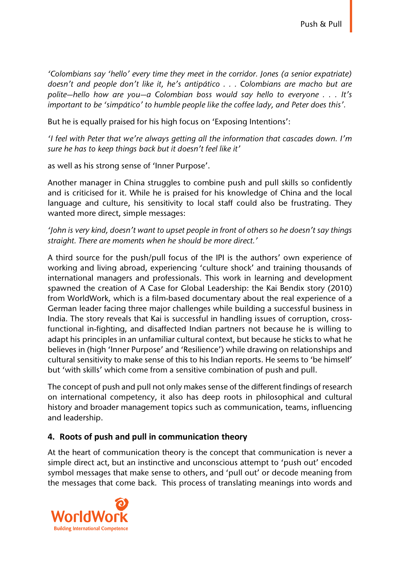*'Colombians say 'hello' every time they meet in the corridor. Jones (a senior expatriate) doesn't and people don't like it, he's antipático . . . Colombians are macho but are polite—hello how are you—a Colombian boss would say hello to everyone . . . It's important to be 'simpático' to humble people like the coffee lady, and Peter does this'.* 

But he is equally praised for his high focus on 'Exposing Intentions':

*'I feel with Peter that we're always getting all the information that cascades down. I'm sure he has to keep things back but it doesn't feel like it'* 

as well as his strong sense of 'Inner Purpose'.

Another manager in China struggles to combine push and pull skills so confidently and is criticised for it. While he is praised for his knowledge of China and the local language and culture, his sensitivity to local staff could also be frustrating. They wanted more direct, simple messages:

*'John is very kind, doesn't want to upset people in front of others so he doesn't say things straight. There are moments when he should be more direct.'*

A third source for the push/pull focus of the IPI is the authors' own experience of working and living abroad, experiencing 'culture shock' and training thousands of international managers and professionals. This work in learning and development spawned the creation of A Case for Global Leadership: the Kai Bendix story (2010) from WorldWork, which is a film-based documentary about the real experience of a German leader facing three major challenges while building a successful business in India. The story reveals that Kai is successful in handling issues of corruption, crossfunctional in-fighting, and disaffected Indian partners not because he is willing to adapt his principles in an unfamiliar cultural context, but because he sticks to what he believes in (high 'Inner Purpose' and 'Resilience') while drawing on relationships and cultural sensitivity to make sense of this to his Indian reports. He seems to 'be himself' but 'with skills' which come from a sensitive combination of push and pull.

The concept of push and pull not only makes sense of the different findings of research on international competency, it also has deep roots in philosophical and cultural history and broader management topics such as communication, teams, influencing and leadership.

# **4. Roots of push and pull in communication theory**

At the heart of communication theory is the concept that communication is never a simple direct act, but an instinctive and unconscious attempt to 'push out' encoded symbol messages that make sense to others, and 'pull out' or decode meaning from the messages that come back. This process of translating meanings into words and

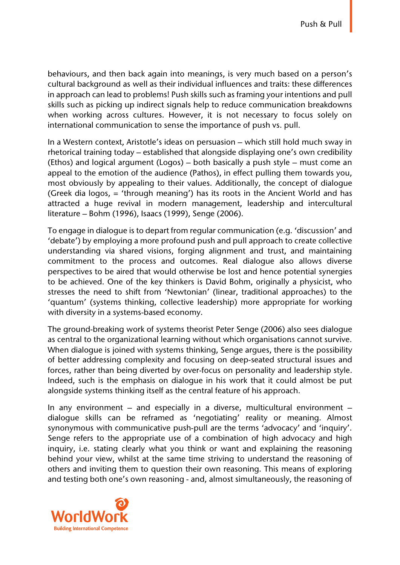behaviours, and then back again into meanings, is very much based on a person's cultural background as well as their individual influences and traits: these differences in approach can lead to problems! Push skills such as framing your intentions and pull skills such as picking up indirect signals help to reduce communication breakdowns when working across cultures. However, it is not necessary to focus solely on international communication to sense the importance of push vs. pull.

In a Western context, Aristotle's ideas on persuasion – which still hold much sway in rhetorical training today – established that alongside displaying one's own credibility (Ethos) and logical argument (Logos) – both basically a push style – must come an appeal to the emotion of the audience (Pathos), in effect pulling them towards you, most obviously by appealing to their values. Additionally, the concept of dialogue (Greek dia logos, = 'through meaning') has its roots in the Ancient World and has attracted a huge revival in modern management, leadership and intercultural literature – Bohm (1996), Isaacs (1999), Senge (2006).

To engage in dialogue is to depart from regular communication (e.g. 'discussion' and 'debate') by employing a more profound push and pull approach to create collective understanding via shared visions, forging alignment and trust, and maintaining commitment to the process and outcomes. Real dialogue also allows diverse perspectives to be aired that would otherwise be lost and hence potential synergies to be achieved. One of the key thinkers is David Bohm, originally a physicist, who stresses the need to shift from 'Newtonian' (linear, traditional approaches) to the 'quantum' (systems thinking, collective leadership) more appropriate for working with diversity in a systems-based economy.

The ground-breaking work of systems theorist Peter Senge (2006) also sees dialogue as central to the organizational learning without which organisations cannot survive. When dialogue is joined with systems thinking, Senge argues, there is the possibility of better addressing complexity and focusing on deep-seated structural issues and forces, rather than being diverted by over-focus on personality and leadership style. Indeed, such is the emphasis on dialogue in his work that it could almost be put alongside systems thinking itself as the central feature of his approach.

In any environment – and especially in a diverse, multicultural environment – dialogue skills can be reframed as 'negotiating' reality or meaning. Almost synonymous with communicative push-pull are the terms 'advocacy' and 'inquiry'. Senge refers to the appropriate use of a combination of high advocacy and high inquiry, i.e. stating clearly what you think or want and explaining the reasoning behind your view, whilst at the same time striving to understand the reasoning of others and inviting them to question their own reasoning. This means of exploring and testing both one's own reasoning - and, almost simultaneously, the reasoning of

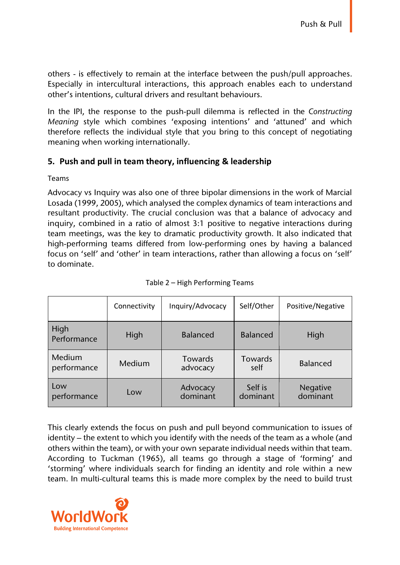others - is effectively to remain at the interface between the push/pull approaches. Especially in intercultural interactions, this approach enables each to understand other's intentions, cultural drivers and resultant behaviours.

In the IPI, the response to the push-pull dilemma is reflected in the *Constructing Meaning* style which combines 'exposing intentions' and 'attuned' and which therefore reflects the individual style that you bring to this concept of negotiating meaning when working internationally.

# **5. Push and pull in team theory, influencing & leadership**

Teams

Advocacy vs Inquiry was also one of three bipolar dimensions in the work of Marcial Losada (1999, 2005), which analysed the complex dynamics of team interactions and resultant productivity. The crucial conclusion was that a balance of advocacy and inquiry, combined in a ratio of almost 3:1 positive to negative interactions during team meetings, was the key to dramatic productivity growth. It also indicated that high-performing teams differed from low-performing ones by having a balanced focus on 'self' and 'other' in team interactions, rather than allowing a focus on 'self' to dominate.

|                       | Connectivity | Inquiry/Advocacy           | Self/Other          | Positive/Negative    |
|-----------------------|--------------|----------------------------|---------------------|----------------------|
| High<br>Performance   | High         | <b>Balanced</b>            | <b>Balanced</b>     | High                 |
| Medium<br>performance | Medium       | <b>Towards</b><br>advocacy | Towards<br>self     | <b>Balanced</b>      |
| Low<br>performance    | Low          | Advocacy<br>dominant       | Self is<br>dominant | Negative<br>dominant |

Table 2 – High Performing Teams

This clearly extends the focus on push and pull beyond communication to issues of identity – the extent to which you identify with the needs of the team as a whole (and others within the team), or with your own separate individual needs within that team. According to Tuckman (1965), all teams go through a stage of 'forming' and 'storming' where individuals search for finding an identity and role within a new team. In multi-cultural teams this is made more complex by the need to build trust

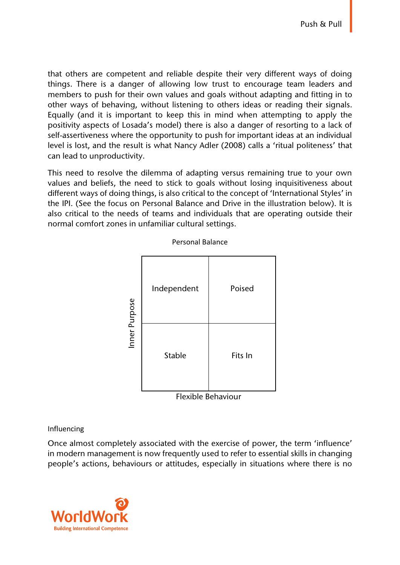that others are competent and reliable despite their very different ways of doing things. There is a danger of allowing low trust to encourage team leaders and members to push for their own values and goals without adapting and fitting in to other ways of behaving, without listening to others ideas or reading their signals. Equally (and it is important to keep this in mind when attempting to apply the positivity aspects of Losada's model) there is also a danger of resorting to a lack of self-assertiveness where the opportunity to push for important ideas at an individual level is lost, and the result is what Nancy Adler (2008) calls a 'ritual politeness' that can lead to unproductivity.

This need to resolve the dilemma of adapting versus remaining true to your own values and beliefs, the need to stick to goals without losing inquisitiveness about different ways of doing things, is also critical to the concept of 'International Styles' in the IPI. (See the focus on Personal Balance and Drive in the illustration below). It is also critical to the needs of teams and individuals that are operating outside their normal comfort zones in unfamiliar cultural settings.



Personal Balance

#### Flexible Behaviour

#### Influencing

Once almost completely associated with the exercise of power, the term 'influence' in modern management is now frequently used to refer to essential skills in changing

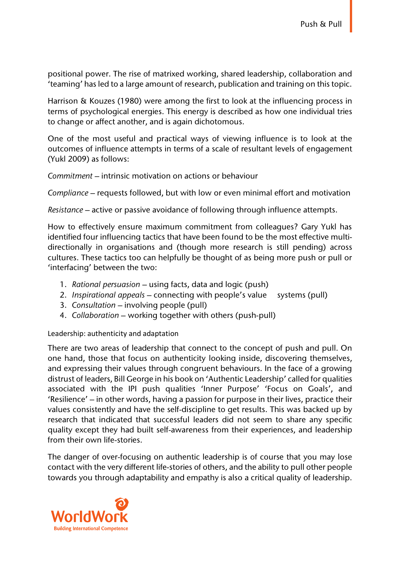positional power. The rise of matrixed working, shared leadership, collaboration and 'teaming' has led to a large amount of research, publication and training on this topic.

Harrison & Kouzes (1980) were among the first to look at the influencing process in terms of psychological energies. This energy is described as how one individual tries to change or affect another, and is again dichotomous.

One of the most useful and practical ways of viewing influence is to look at the outcomes of influence attempts in terms of a scale of resultant levels of engagement (Yukl 2009) as follows:

*Commitment* – intrinsic motivation on actions or behaviour

*Compliance* – requests followed, but with low or even minimal effort and motivation

*Resistance* – active or passive avoidance of following through influence attempts.

How to effectively ensure maximum commitment from colleagues? Gary Yukl has identified four influencing tactics that have been found to be the most effective multidirectionally in organisations and (though more research is still pending) across cultures. These tactics too can helpfully be thought of as being more push or pull or 'interfacing' between the two:

- 1. *Rational persuasion* using facts, data and logic (push)
- 2. *Inspirational appeals* connecting with people's value systems (pull)
- 3. *Consultation* involving people (pull)
- 4. *Collaboration* working together with others (push-pull)

Leadership: authenticity and adaptation

There are two areas of leadership that connect to the concept of push and pull. On one hand, those that focus on authenticity looking inside, discovering themselves, and expressing their values through congruent behaviours. In the face of a growing distrust of leaders, Bill George in his book on 'Authentic Leadership' called for qualities associated with the IPI push qualities 'Inner Purpose' 'Focus on Goals', and 'Resilience' – in other words, having a passion for purpose in their lives, practice their values consistently and have the self-discipline to get results. This was backed up by research that indicated that successful leaders did not seem to share any specific quality except they had built self-awareness from their experiences, and leadership from their own life-stories.

The danger of over-focusing on authentic leadership is of course that you may lose contact with the very different life-stories of others, and the ability to pull other people towards you through adaptability and empathy is also a critical quality of leadership.

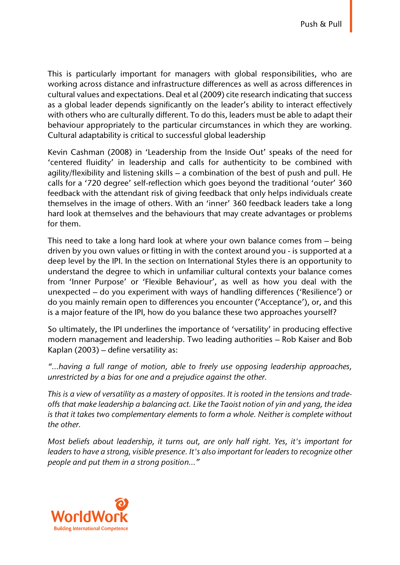This is particularly important for managers with global responsibilities, who are working across distance and infrastructure differences as well as across differences in cultural values and expectations. Deal et al (2009) cite research indicating that success as a global leader depends significantly on the leader's ability to interact effectively with others who are culturally different. To do this, leaders must be able to adapt their behaviour appropriately to the particular circumstances in which they are working. Cultural adaptability is critical to successful global leadership

Kevin Cashman (2008) in 'Leadership from the Inside Out' speaks of the need for 'centered fluidity' in leadership and calls for authenticity to be combined with agility/flexibility and listening skills – a combination of the best of push and pull. He calls for a '720 degree' self-reflection which goes beyond the traditional 'outer' 360 feedback with the attendant risk of giving feedback that only helps individuals create themselves in the image of others. With an 'inner' 360 feedback leaders take a long hard look at themselves and the behaviours that may create advantages or problems for them.

This need to take a long hard look at where your own balance comes from – being driven by you own values or fitting in with the context around you - is supported at a deep level by the IPI. In the section on International Styles there is an opportunity to understand the degree to which in unfamiliar cultural contexts your balance comes from 'Inner Purpose' or 'Flexible Behaviour', as well as how you deal with the unexpected – do you experiment with ways of handling differences ('Resilience') or do you mainly remain open to differences you encounter ('Acceptance'), or, and this is a major feature of the IPI, how do you balance these two approaches yourself?

So ultimately, the IPI underlines the importance of 'versatility' in producing effective modern management and leadership. Two leading authorities – Rob Kaiser and Bob Kaplan (2003) – define versatility as:

*"…having a full range of motion, able to freely use opposing leadership approaches, unrestricted by a bias for one and a prejudice against the other.*

*This is a view of versatility as a mastery of opposites. It is rooted in the tensions and tradeoffs that make leadership a balancing act. Like the Taoist notion of yin and yang, the idea is that it takes two complementary elements to form a whole. Neither is complete without the other.*

*Most beliefs about leadership, it turns out, are only half right. Yes, it's important for leaders to have a strong, visible presence. It's also important for leaders to recognize other people and put them in a strong position…"*

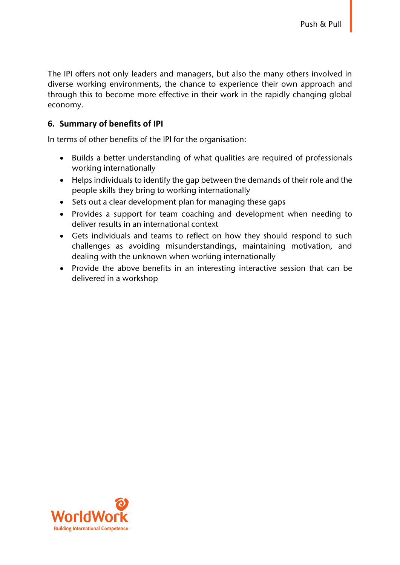The IPI offers not only leaders and managers, but also the many others involved in diverse working environments, the chance to experience their own approach and through this to become more effective in their work in the rapidly changing global economy.

### **6. Summary of benefits of IPI**

In terms of other benefits of the IPI for the organisation:

- Builds a better understanding of what qualities are required of professionals working internationally
- Helps individuals to identify the gap between the demands of their role and the people skills they bring to working internationally
- Sets out a clear development plan for managing these gaps
- Provides a support for team coaching and development when needing to deliver results in an international context
- Gets individuals and teams to reflect on how they should respond to such challenges as avoiding misunderstandings, maintaining motivation, and dealing with the unknown when working internationally
- Provide the above benefits in an interesting interactive session that can be delivered in a workshop

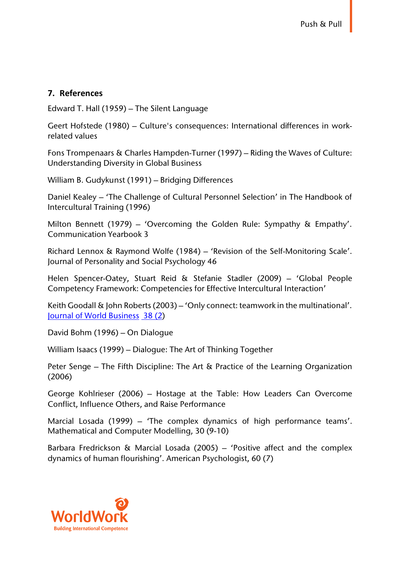#### **7. References**

Edward T. Hall (1959) – The Silent Language

Geert Hofstede (1980) – Culture's consequences: International differences in workrelated values

Fons Trompenaars & Charles Hampden-Turner (1997) – Riding the Waves of Culture: Understanding Diversity in Global Business

William B. Gudykunst (1991) – Bridging Differences

Daniel Kealey – 'The Challenge of Cultural Personnel Selection' in The Handbook of Intercultural Training (1996)

Milton Bennett (1979) – 'Overcoming the Golden Rule: Sympathy & Empathy'. Communication Yearbook 3

Richard Lennox & Raymond Wolfe (1984) – 'Revision of the Self-Monitoring Scale'. Journal of Personality and Social Psychology 46

Helen Spencer-Oatey, Stuart Reid & Stefanie Stadler (2009) – 'Global People Competency Framework: Competencies for Effective Intercultural Interaction'

Keith Goodall & John Roberts (2003) – 'Only connect: teamwork in the multinational'. Journal of World Business 38 (2)

David Bohm (1996) – On Dialogue

William Isaacs (1999) – Dialogue: The Art of Thinking Together

Peter Senge – The Fifth Discipline: The Art & Practice of the Learning Organization (2006)

George Kohlrieser (2006) – Hostage at the Table: How Leaders Can Overcome Conflict, Influence Others, and Raise Performance

Marcial Losada (1999) – 'The complex dynamics of high performance teams'. Mathematical and Computer Modelling, 30 (9-10)

Barbara Fredrickson & Marcial Losada (2005) – 'Positive affect and the complex dynamics of human flourishing'. American Psychologist, 60 (7)